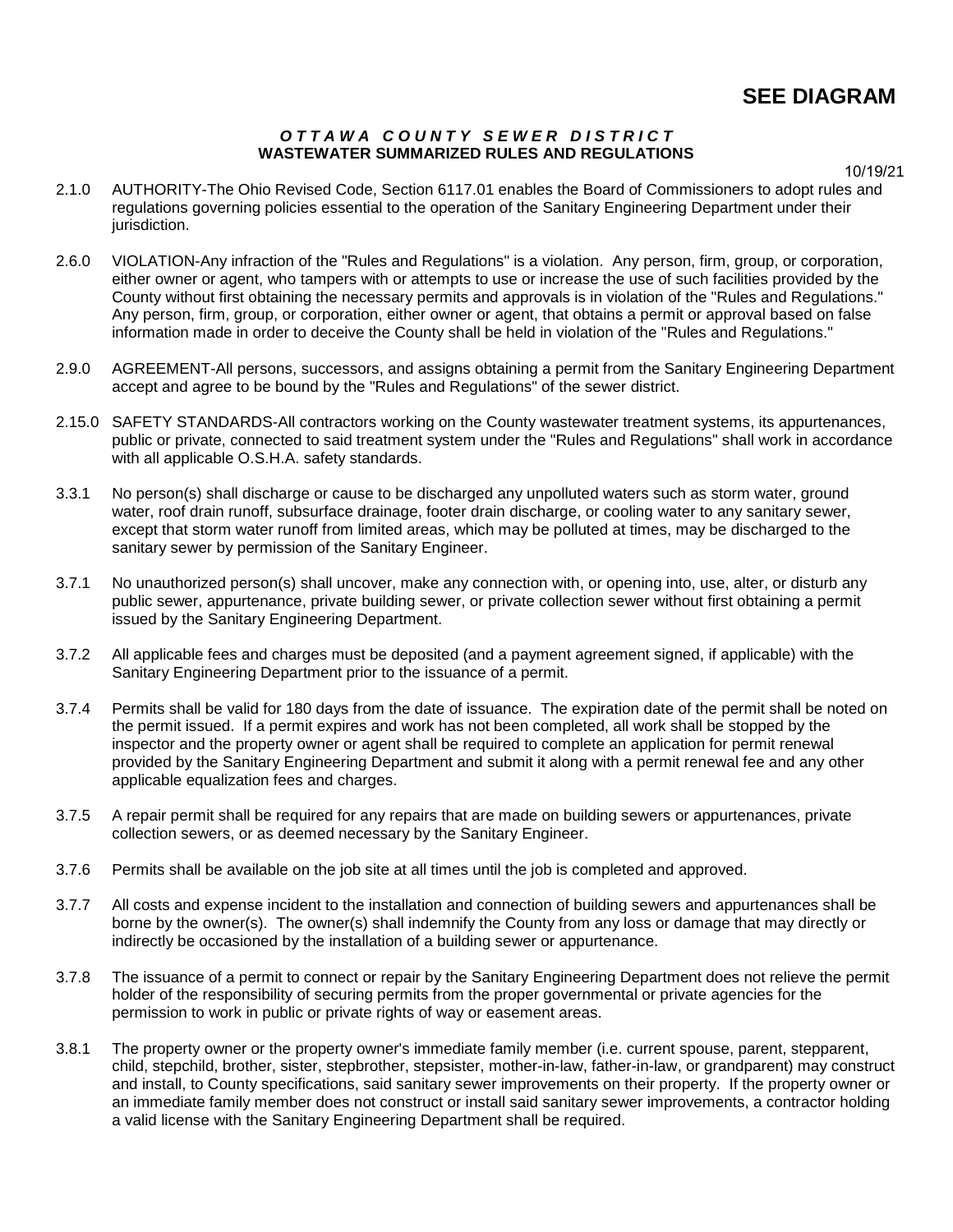#### *O T T A W A C O U N T Y S E W E R D I S T R I C T* **WASTEWATER SUMMARIZED RULES AND REGULATIONS**

10/19/21

- 2.1.0 AUTHORITY-The Ohio Revised Code, Section 6117.01 enables the Board of Commissioners to adopt rules and regulations governing policies essential to the operation of the Sanitary Engineering Department under their jurisdiction.
- 2.6.0 VIOLATION-Any infraction of the "Rules and Regulations" is a violation. Any person, firm, group, or corporation, either owner or agent, who tampers with or attempts to use or increase the use of such facilities provided by the County without first obtaining the necessary permits and approvals is in violation of the "Rules and Regulations." Any person, firm, group, or corporation, either owner or agent, that obtains a permit or approval based on false information made in order to deceive the County shall be held in violation of the "Rules and Regulations."
- 2.9.0 AGREEMENT-All persons, successors, and assigns obtaining a permit from the Sanitary Engineering Department accept and agree to be bound by the "Rules and Regulations" of the sewer district.
- 2.15.0 SAFETY STANDARDS-All contractors working on the County wastewater treatment systems, its appurtenances, public or private, connected to said treatment system under the "Rules and Regulations" shall work in accordance with all applicable O.S.H.A. safety standards.
- 3.3.1 No person(s) shall discharge or cause to be discharged any unpolluted waters such as storm water, ground water, roof drain runoff, subsurface drainage, footer drain discharge, or cooling water to any sanitary sewer, except that storm water runoff from limited areas, which may be polluted at times, may be discharged to the sanitary sewer by permission of the Sanitary Engineer.
- 3.7.1 No unauthorized person(s) shall uncover, make any connection with, or opening into, use, alter, or disturb any public sewer, appurtenance, private building sewer, or private collection sewer without first obtaining a permit issued by the Sanitary Engineering Department.
- 3.7.2 All applicable fees and charges must be deposited (and a payment agreement signed, if applicable) with the Sanitary Engineering Department prior to the issuance of a permit.
- 3.7.4 Permits shall be valid for 180 days from the date of issuance. The expiration date of the permit shall be noted on the permit issued. If a permit expires and work has not been completed, all work shall be stopped by the inspector and the property owner or agent shall be required to complete an application for permit renewal provided by the Sanitary Engineering Department and submit it along with a permit renewal fee and any other applicable equalization fees and charges.
- 3.7.5 A repair permit shall be required for any repairs that are made on building sewers or appurtenances, private collection sewers, or as deemed necessary by the Sanitary Engineer.
- 3.7.6 Permits shall be available on the job site at all times until the job is completed and approved.
- 3.7.7 All costs and expense incident to the installation and connection of building sewers and appurtenances shall be borne by the owner(s). The owner(s) shall indemnify the County from any loss or damage that may directly or indirectly be occasioned by the installation of a building sewer or appurtenance.
- 3.7.8 The issuance of a permit to connect or repair by the Sanitary Engineering Department does not relieve the permit holder of the responsibility of securing permits from the proper governmental or private agencies for the permission to work in public or private rights of way or easement areas.
- 3.8.1 The property owner or the property owner's immediate family member (i.e. current spouse, parent, stepparent, child, stepchild, brother, sister, stepbrother, stepsister, mother-in-law, father-in-law, or grandparent) may construct and install, to County specifications, said sanitary sewer improvements on their property. If the property owner or an immediate family member does not construct or install said sanitary sewer improvements, a contractor holding a valid license with the Sanitary Engineering Department shall be required.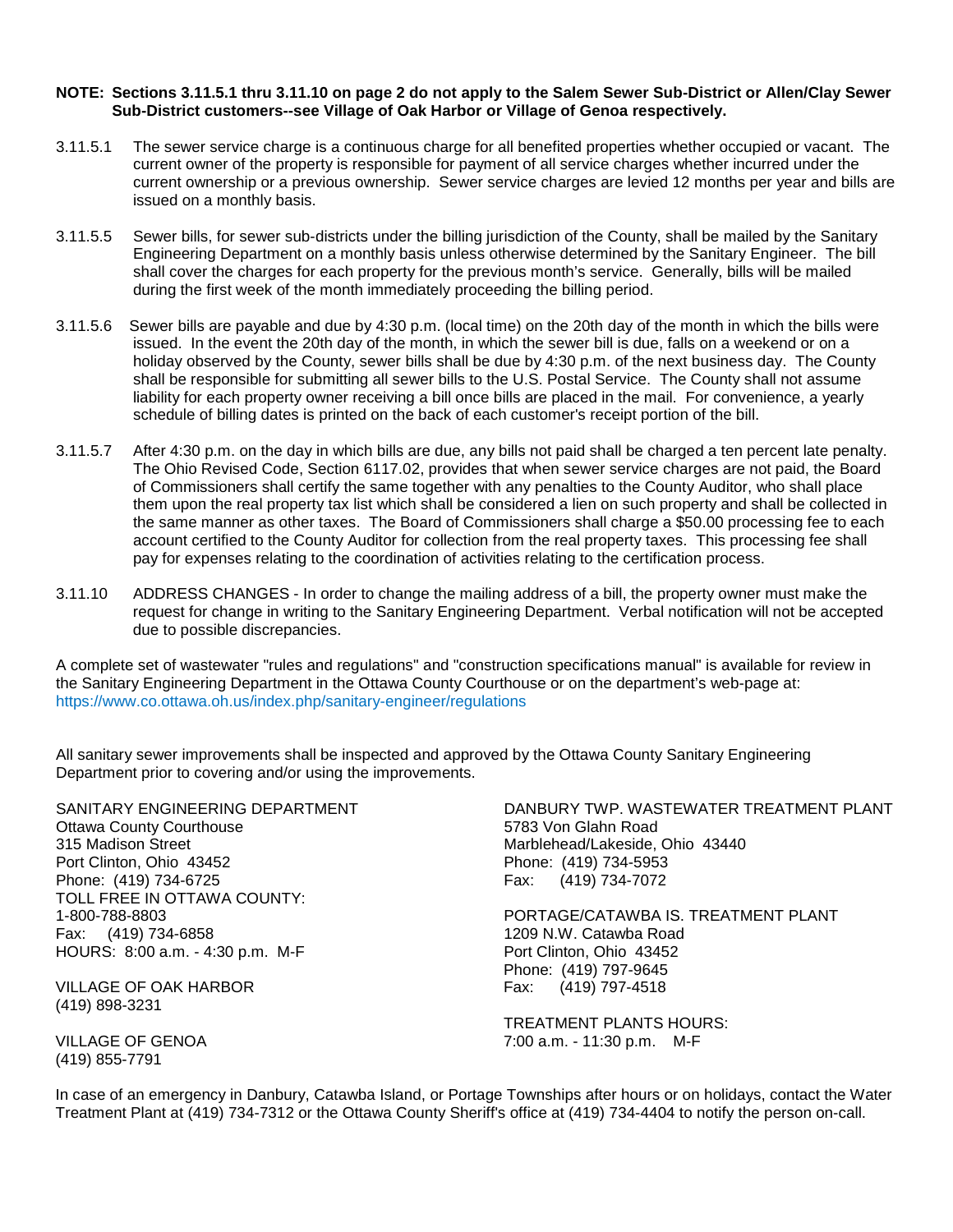#### **NOTE: Sections 3.11.5.1 thru 3.11.10 on page 2 do not apply to the Salem Sewer Sub-District or Allen/Clay Sewer Sub-District customers--see Village of Oak Harbor or Village of Genoa respectively.**

- 3.11.5.1 The sewer service charge is a continuous charge for all benefited properties whether occupied or vacant. The current owner of the property is responsible for payment of all service charges whether incurred under the current ownership or a previous ownership. Sewer service charges are levied 12 months per year and bills are issued on a monthly basis.
- 3.11.5.5 Sewer bills, for sewer sub-districts under the billing jurisdiction of the County, shall be mailed by the Sanitary Engineering Department on a monthly basis unless otherwise determined by the Sanitary Engineer. The bill shall cover the charges for each property for the previous month's service. Generally, bills will be mailed during the first week of the month immediately proceeding the billing period.
- 3.11.5.6 Sewer bills are payable and due by 4:30 p.m. (local time) on the 20th day of the month in which the bills were issued. In the event the 20th day of the month, in which the sewer bill is due, falls on a weekend or on a holiday observed by the County, sewer bills shall be due by 4:30 p.m. of the next business day. The County shall be responsible for submitting all sewer bills to the U.S. Postal Service. The County shall not assume liability for each property owner receiving a bill once bills are placed in the mail. For convenience, a yearly schedule of billing dates is printed on the back of each customer's receipt portion of the bill.
- 3.11.5.7 After 4:30 p.m. on the day in which bills are due, any bills not paid shall be charged a ten percent late penalty. The Ohio Revised Code, Section 6117.02, provides that when sewer service charges are not paid, the Board of Commissioners shall certify the same together with any penalties to the County Auditor, who shall place them upon the real property tax list which shall be considered a lien on such property and shall be collected in the same manner as other taxes. The Board of Commissioners shall charge a \$50.00 processing fee to each account certified to the County Auditor for collection from the real property taxes. This processing fee shall pay for expenses relating to the coordination of activities relating to the certification process.
- 3.11.10 ADDRESS CHANGES In order to change the mailing address of a bill, the property owner must make the request for change in writing to the Sanitary Engineering Department. Verbal notification will not be accepted due to possible discrepancies.

A complete set of wastewater "rules and regulations" and "construction specifications manual" is available for review in the Sanitary Engineering Department in the Ottawa County Courthouse or on the department's web-page at: https://www.co.ottawa.oh.us/index.php/sanitary-engineer/regulations

All sanitary sewer improvements shall be inspected and approved by the Ottawa County Sanitary Engineering Department prior to covering and/or using the improvements.

Ottawa County Courthouse 6783 Von Glahn Road 315 Madison Street Marblehead/Lakeside, Ohio 43440 Port Clinton, Ohio 43452 Phone: (419) 734-5953 Phone: (419) 734-6725 Fax: (419) 734-7072 TOLL FREE IN OTTAWA COUNTY: Fax: (419) 734-6858 1209 N.W. Catawba Road HOURS: 8:00 a.m. - 4:30 p.m. M-F Port Clinton, Ohio 43452

VILLAGE OF OAK HARBOR Fax: (419) 797-4518 (419) 898-3231

(419) 855-7791

SANITARY ENGINEERING DEPARTMENT DANBURY TWP. WASTEWATER TREATMENT PLANT

1-800-788-8803 PORTAGE/CATAWBA IS. TREATMENT PLANT Phone: (419) 797-9645<br>Fax: (419) 797-4518

TREATMENT PLANTS HOURS: VILLAGE OF GENOA 7:00 a.m. - 11:30 p.m. M-F

In case of an emergency in Danbury, Catawba Island, or Portage Townships after hours or on holidays, contact the Water Treatment Plant at (419) 734-7312 or the Ottawa County Sheriff's office at (419) 734-4404 to notify the person on-call.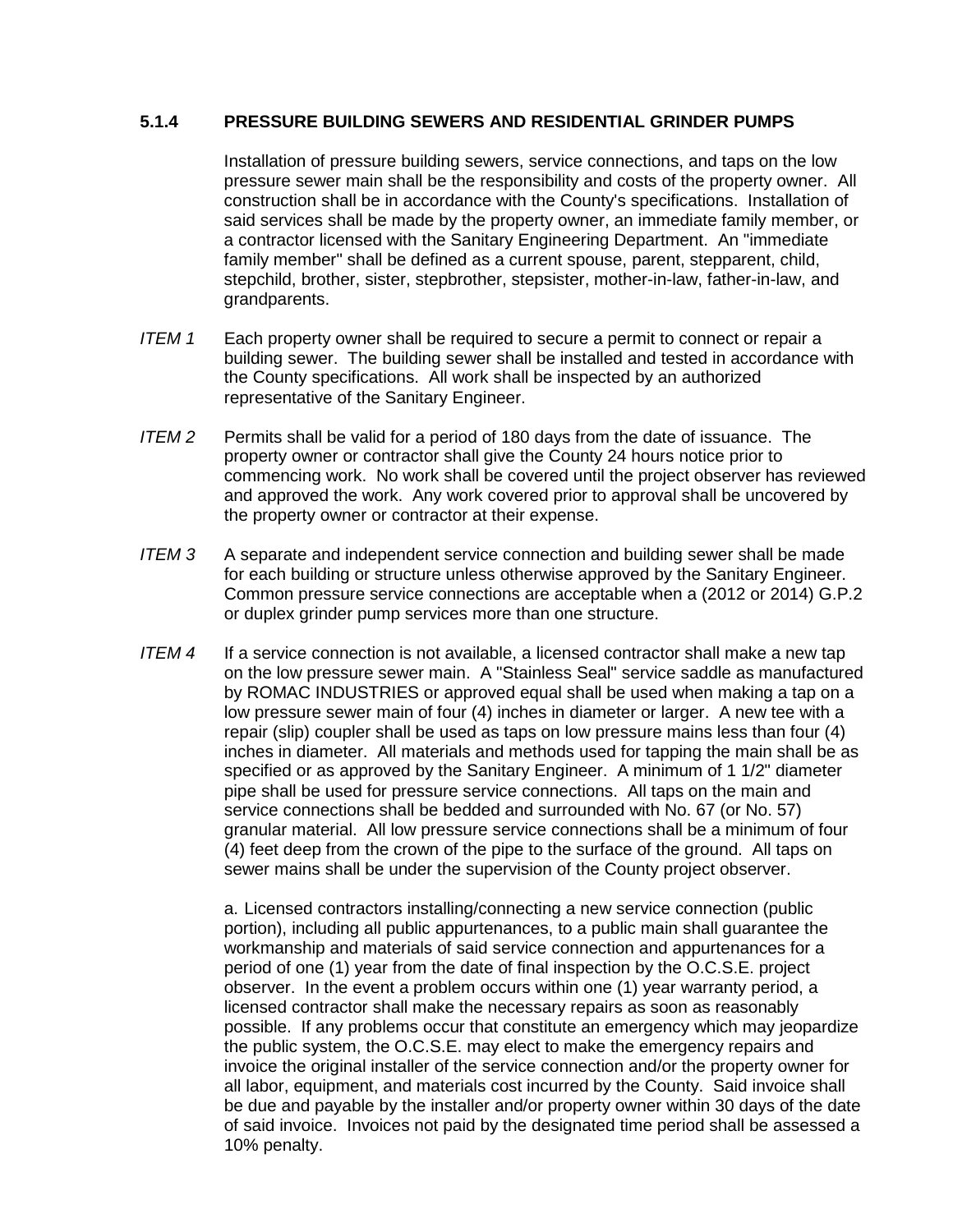### **5.1.4 PRESSURE BUILDING SEWERS AND RESIDENTIAL GRINDER PUMPS**

Installation of pressure building sewers, service connections, and taps on the low pressure sewer main shall be the responsibility and costs of the property owner. All construction shall be in accordance with the County's specifications. Installation of said services shall be made by the property owner, an immediate family member, or a contractor licensed with the Sanitary Engineering Department. An "immediate family member" shall be defined as a current spouse, parent, stepparent, child, stepchild, brother, sister, stepbrother, stepsister, mother-in-law, father-in-law, and grandparents.

- *ITEM 1* Each property owner shall be required to secure a permit to connect or repair a building sewer. The building sewer shall be installed and tested in accordance with the County specifications. All work shall be inspected by an authorized representative of the Sanitary Engineer.
- *ITEM 2* Permits shall be valid for a period of 180 days from the date of issuance. The property owner or contractor shall give the County 24 hours notice prior to commencing work. No work shall be covered until the project observer has reviewed and approved the work. Any work covered prior to approval shall be uncovered by the property owner or contractor at their expense.
- *ITEM 3* A separate and independent service connection and building sewer shall be made for each building or structure unless otherwise approved by the Sanitary Engineer. Common pressure service connections are acceptable when a (2012 or 2014) G.P.2 or duplex grinder pump services more than one structure.
- *ITEM 4* If a service connection is not available, a licensed contractor shall make a new tap on the low pressure sewer main. A "Stainless Seal" service saddle as manufactured by ROMAC INDUSTRIES or approved equal shall be used when making a tap on a low pressure sewer main of four (4) inches in diameter or larger. A new tee with a repair (slip) coupler shall be used as taps on low pressure mains less than four (4) inches in diameter. All materials and methods used for tapping the main shall be as specified or as approved by the Sanitary Engineer. A minimum of 1 1/2" diameter pipe shall be used for pressure service connections. All taps on the main and service connections shall be bedded and surrounded with No. 67 (or No. 57) granular material. All low pressure service connections shall be a minimum of four (4) feet deep from the crown of the pipe to the surface of the ground. All taps on sewer mains shall be under the supervision of the County project observer.

a. Licensed contractors installing/connecting a new service connection (public portion), including all public appurtenances, to a public main shall guarantee the workmanship and materials of said service connection and appurtenances for a period of one (1) year from the date of final inspection by the O.C.S.E. project observer. In the event a problem occurs within one (1) year warranty period, a licensed contractor shall make the necessary repairs as soon as reasonably possible. If any problems occur that constitute an emergency which may jeopardize the public system, the O.C.S.E. may elect to make the emergency repairs and invoice the original installer of the service connection and/or the property owner for all labor, equipment, and materials cost incurred by the County. Said invoice shall be due and payable by the installer and/or property owner within 30 days of the date of said invoice. Invoices not paid by the designated time period shall be assessed a 10% penalty.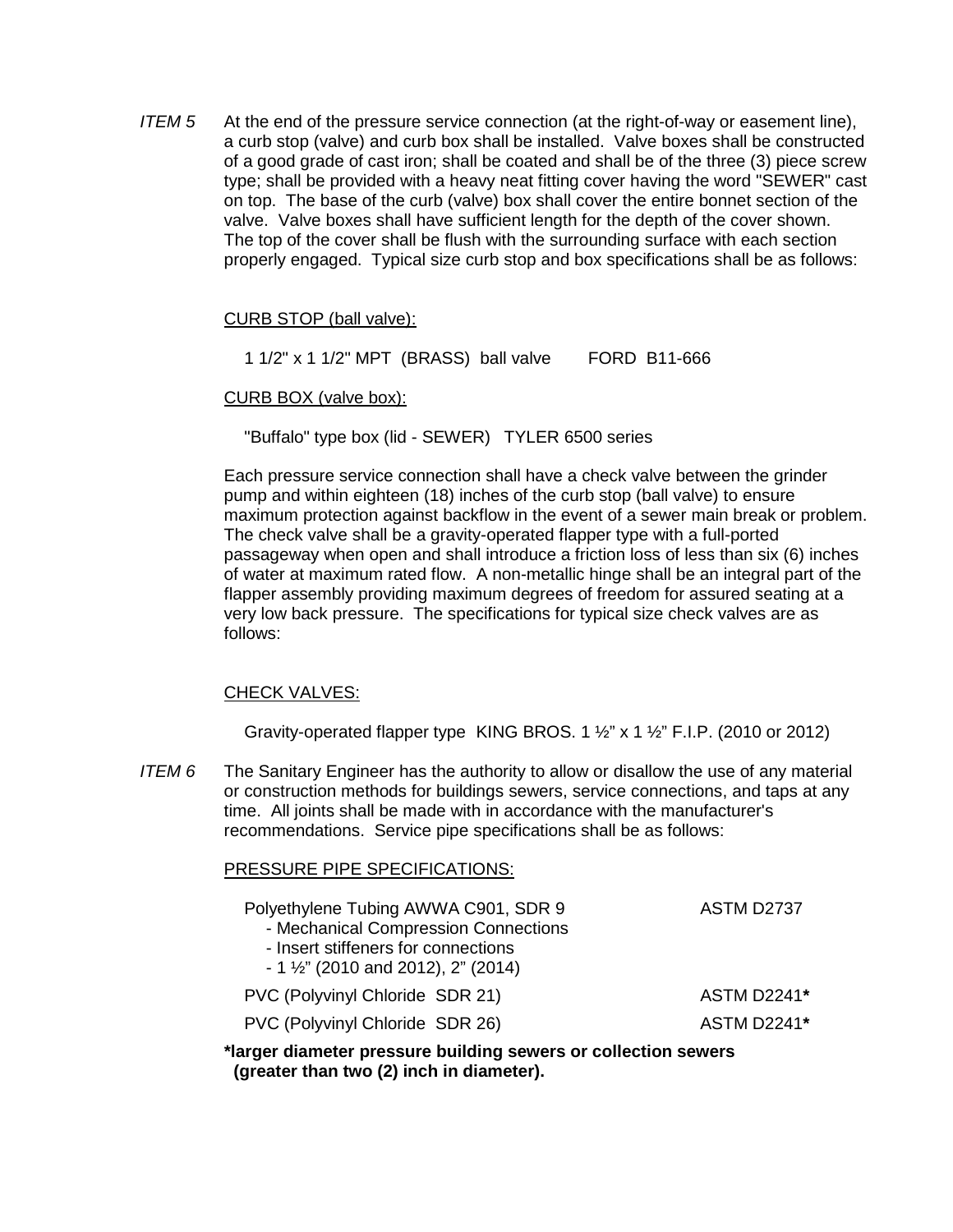*ITEM 5* At the end of the pressure service connection (at the right-of-way or easement line), a curb stop (valve) and curb box shall be installed. Valve boxes shall be constructed of a good grade of cast iron; shall be coated and shall be of the three (3) piece screw type; shall be provided with a heavy neat fitting cover having the word "SEWER" cast on top. The base of the curb (valve) box shall cover the entire bonnet section of the valve. Valve boxes shall have sufficient length for the depth of the cover shown. The top of the cover shall be flush with the surrounding surface with each section properly engaged. Typical size curb stop and box specifications shall be as follows:

### CURB STOP (ball valve):

1 1/2" x 1 1/2" MPT (BRASS) ball valve FORD B11-666

### CURB BOX (valve box):

"Buffalo" type box (lid - SEWER) TYLER 6500 series

Each pressure service connection shall have a check valve between the grinder pump and within eighteen (18) inches of the curb stop (ball valve) to ensure maximum protection against backflow in the event of a sewer main break or problem. The check valve shall be a gravity-operated flapper type with a full-ported passageway when open and shall introduce a friction loss of less than six (6) inches of water at maximum rated flow. A non-metallic hinge shall be an integral part of the flapper assembly providing maximum degrees of freedom for assured seating at a very low back pressure. The specifications for typical size check valves are as follows:

## CHECK VALVES:

PRESSURE PIPE SPECIFICATIONS:

Gravity-operated flapper type KING BROS. 1  $\frac{1}{2}$  x 1  $\frac{1}{2}$  F.I.P. (2010 or 2012)

*ITEM 6* The Sanitary Engineer has the authority to allow or disallow the use of any material or construction methods for buildings sewers, service connections, and taps at any time. All joints shall be made with in accordance with the manufacturer's recommendations. Service pipe specifications shall be as follows:

| Polyethylene Tubing AWWA C901, SDR 9<br>- Mechanical Compression Connections<br>- Insert stiffeners for connections<br>$-1\frac{1}{2}$ " (2010 and 2012), 2" (2014) | <b>ASTM D2737</b>  |
|---------------------------------------------------------------------------------------------------------------------------------------------------------------------|--------------------|
| PVC (Polyvinyl Chloride SDR 21)                                                                                                                                     | <b>ASTM D2241*</b> |
| PVC (Polyvinyl Chloride SDR 26)                                                                                                                                     | <b>ASTM D2241*</b> |

**\*larger diameter pressure building sewers or collection sewers (greater than two (2) inch in diameter).**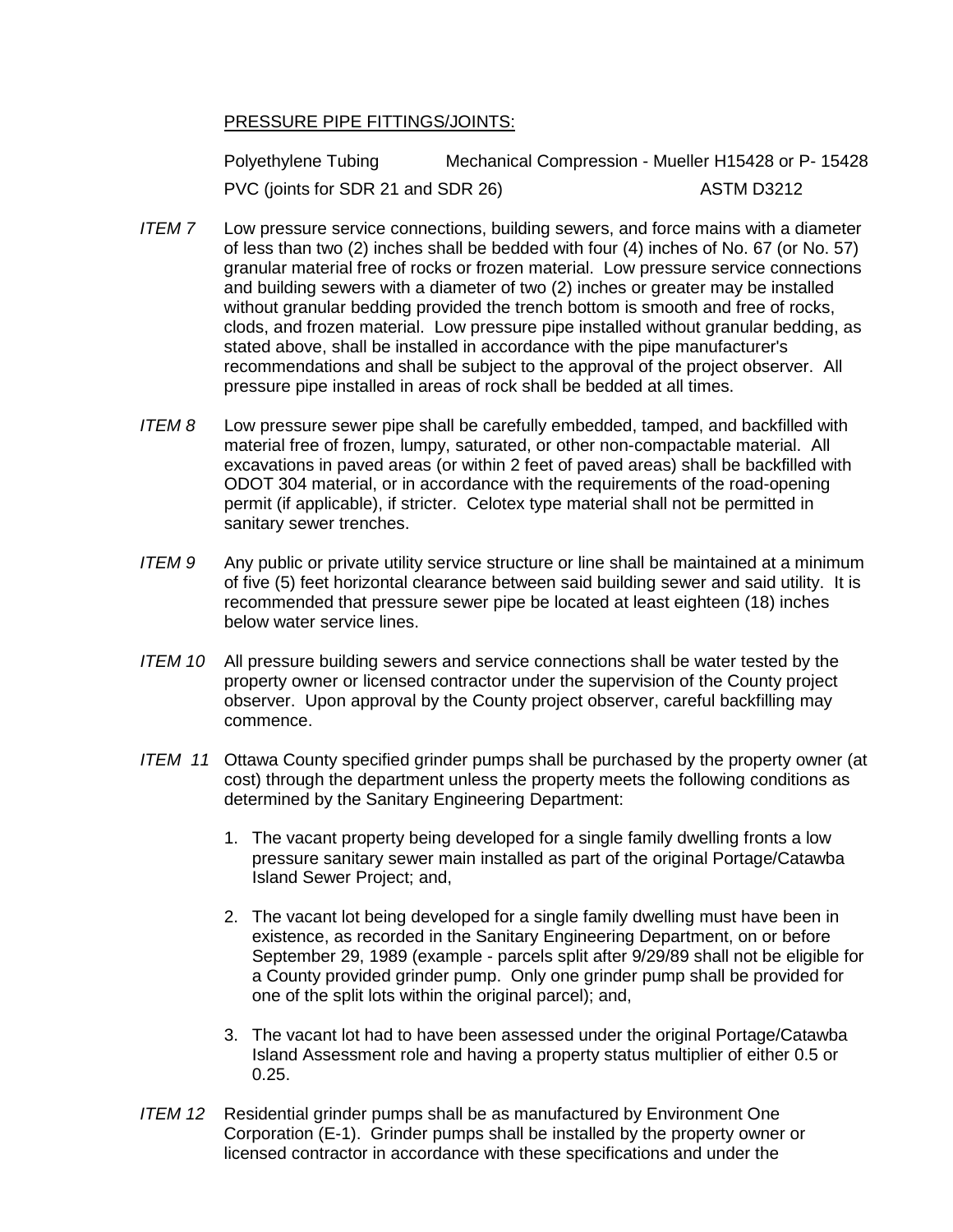## PRESSURE PIPE FITTINGS/JOINTS:

Polyethylene Tubing Mechanical Compression - Mueller H15428 or P- 15428 PVC (joints for SDR 21 and SDR 26) ASTM D3212

- *ITEM 7* Low pressure service connections, building sewers, and force mains with a diameter of less than two (2) inches shall be bedded with four (4) inches of No. 67 (or No. 57) granular material free of rocks or frozen material. Low pressure service connections and building sewers with a diameter of two (2) inches or greater may be installed without granular bedding provided the trench bottom is smooth and free of rocks, clods, and frozen material. Low pressure pipe installed without granular bedding, as stated above, shall be installed in accordance with the pipe manufacturer's recommendations and shall be subject to the approval of the project observer. All pressure pipe installed in areas of rock shall be bedded at all times.
- *ITEM 8* Low pressure sewer pipe shall be carefully embedded, tamped, and backfilled with material free of frozen, lumpy, saturated, or other non-compactable material. All excavations in paved areas (or within 2 feet of paved areas) shall be backfilled with ODOT 304 material, or in accordance with the requirements of the road-opening permit (if applicable), if stricter. Celotex type material shall not be permitted in sanitary sewer trenches.
- *ITEM 9* Any public or private utility service structure or line shall be maintained at a minimum of five (5) feet horizontal clearance between said building sewer and said utility. It is recommended that pressure sewer pipe be located at least eighteen (18) inches below water service lines.
- *ITEM 10* All pressure building sewers and service connections shall be water tested by the property owner or licensed contractor under the supervision of the County project observer. Upon approval by the County project observer, careful backfilling may commence.
- *ITEM 11* Ottawa County specified grinder pumps shall be purchased by the property owner (at cost) through the department unless the property meets the following conditions as determined by the Sanitary Engineering Department:
	- 1. The vacant property being developed for a single family dwelling fronts a low pressure sanitary sewer main installed as part of the original Portage/Catawba Island Sewer Project; and,
	- 2. The vacant lot being developed for a single family dwelling must have been in existence, as recorded in the Sanitary Engineering Department, on or before September 29, 1989 (example - parcels split after 9/29/89 shall not be eligible for a County provided grinder pump. Only one grinder pump shall be provided for one of the split lots within the original parcel); and,
	- 3. The vacant lot had to have been assessed under the original Portage/Catawba Island Assessment role and having a property status multiplier of either 0.5 or 0.25.
- *ITEM 12* Residential grinder pumps shall be as manufactured by Environment One Corporation (E-1). Grinder pumps shall be installed by the property owner or licensed contractor in accordance with these specifications and under the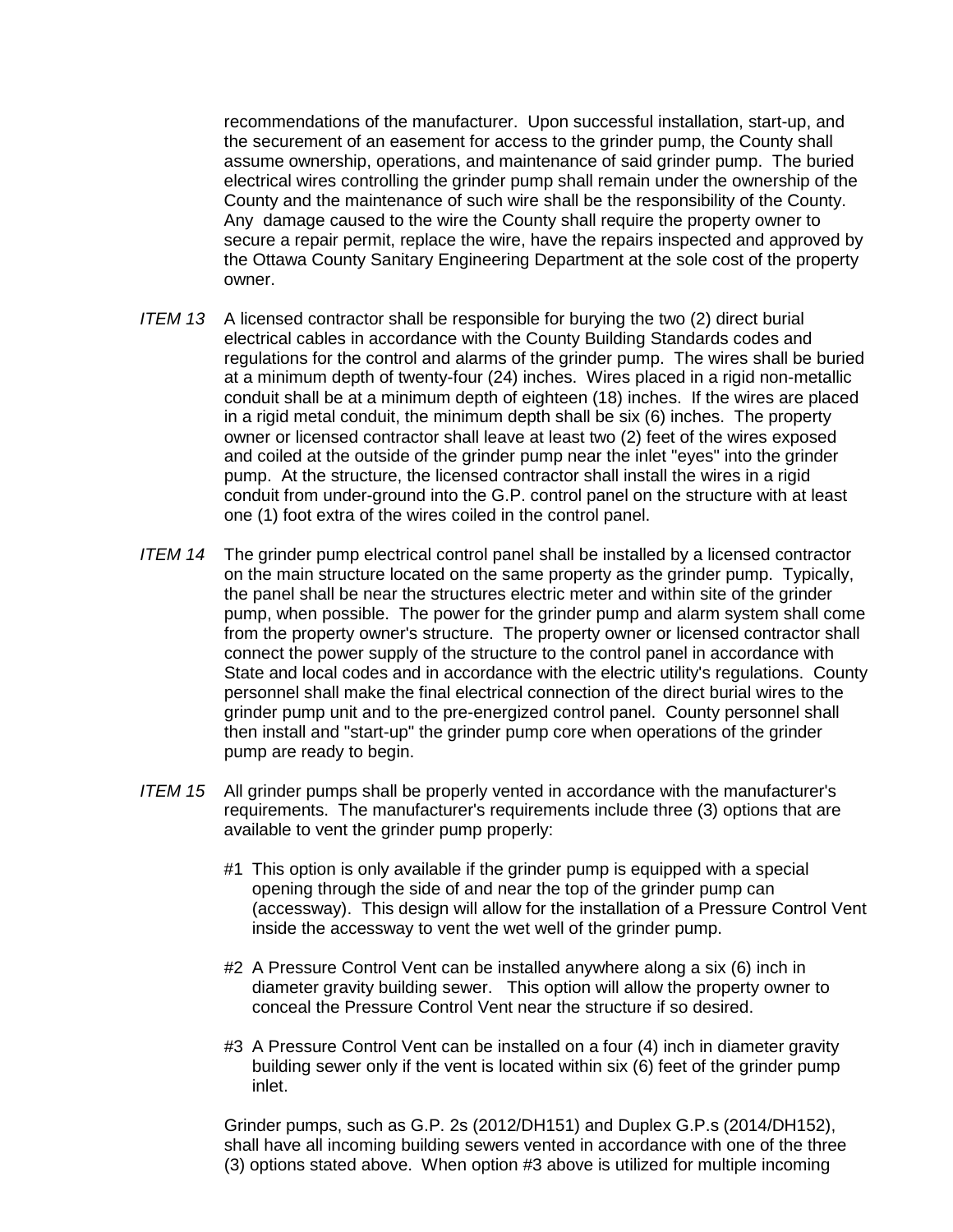recommendations of the manufacturer. Upon successful installation, start-up, and the securement of an easement for access to the grinder pump, the County shall assume ownership, operations, and maintenance of said grinder pump. The buried electrical wires controlling the grinder pump shall remain under the ownership of the County and the maintenance of such wire shall be the responsibility of the County. Any damage caused to the wire the County shall require the property owner to secure a repair permit, replace the wire, have the repairs inspected and approved by the Ottawa County Sanitary Engineering Department at the sole cost of the property owner.

- *ITEM 13* A licensed contractor shall be responsible for burying the two (2) direct burial electrical cables in accordance with the County Building Standards codes and regulations for the control and alarms of the grinder pump. The wires shall be buried at a minimum depth of twenty-four (24) inches. Wires placed in a rigid non-metallic conduit shall be at a minimum depth of eighteen (18) inches. If the wires are placed in a rigid metal conduit, the minimum depth shall be six (6) inches. The property owner or licensed contractor shall leave at least two (2) feet of the wires exposed and coiled at the outside of the grinder pump near the inlet "eyes" into the grinder pump. At the structure, the licensed contractor shall install the wires in a rigid conduit from under-ground into the G.P. control panel on the structure with at least one (1) foot extra of the wires coiled in the control panel.
- *ITEM 14* The grinder pump electrical control panel shall be installed by a licensed contractor on the main structure located on the same property as the grinder pump. Typically, the panel shall be near the structures electric meter and within site of the grinder pump, when possible. The power for the grinder pump and alarm system shall come from the property owner's structure. The property owner or licensed contractor shall connect the power supply of the structure to the control panel in accordance with State and local codes and in accordance with the electric utility's regulations. County personnel shall make the final electrical connection of the direct burial wires to the grinder pump unit and to the pre-energized control panel. County personnel shall then install and "start-up" the grinder pump core when operations of the grinder pump are ready to begin.
- *ITEM 15* All grinder pumps shall be properly vented in accordance with the manufacturer's requirements. The manufacturer's requirements include three (3) options that are available to vent the grinder pump properly:
	- #1 This option is only available if the grinder pump is equipped with a special opening through the side of and near the top of the grinder pump can (accessway). This design will allow for the installation of a Pressure Control Vent inside the accessway to vent the wet well of the grinder pump.
	- #2 A Pressure Control Vent can be installed anywhere along a six (6) inch in diameter gravity building sewer. This option will allow the property owner to conceal the Pressure Control Vent near the structure if so desired.
	- #3 A Pressure Control Vent can be installed on a four (4) inch in diameter gravity building sewer only if the vent is located within six (6) feet of the grinder pump inlet.

Grinder pumps, such as G.P. 2s (2012/DH151) and Duplex G.P.s (2014/DH152), shall have all incoming building sewers vented in accordance with one of the three (3) options stated above. When option #3 above is utilized for multiple incoming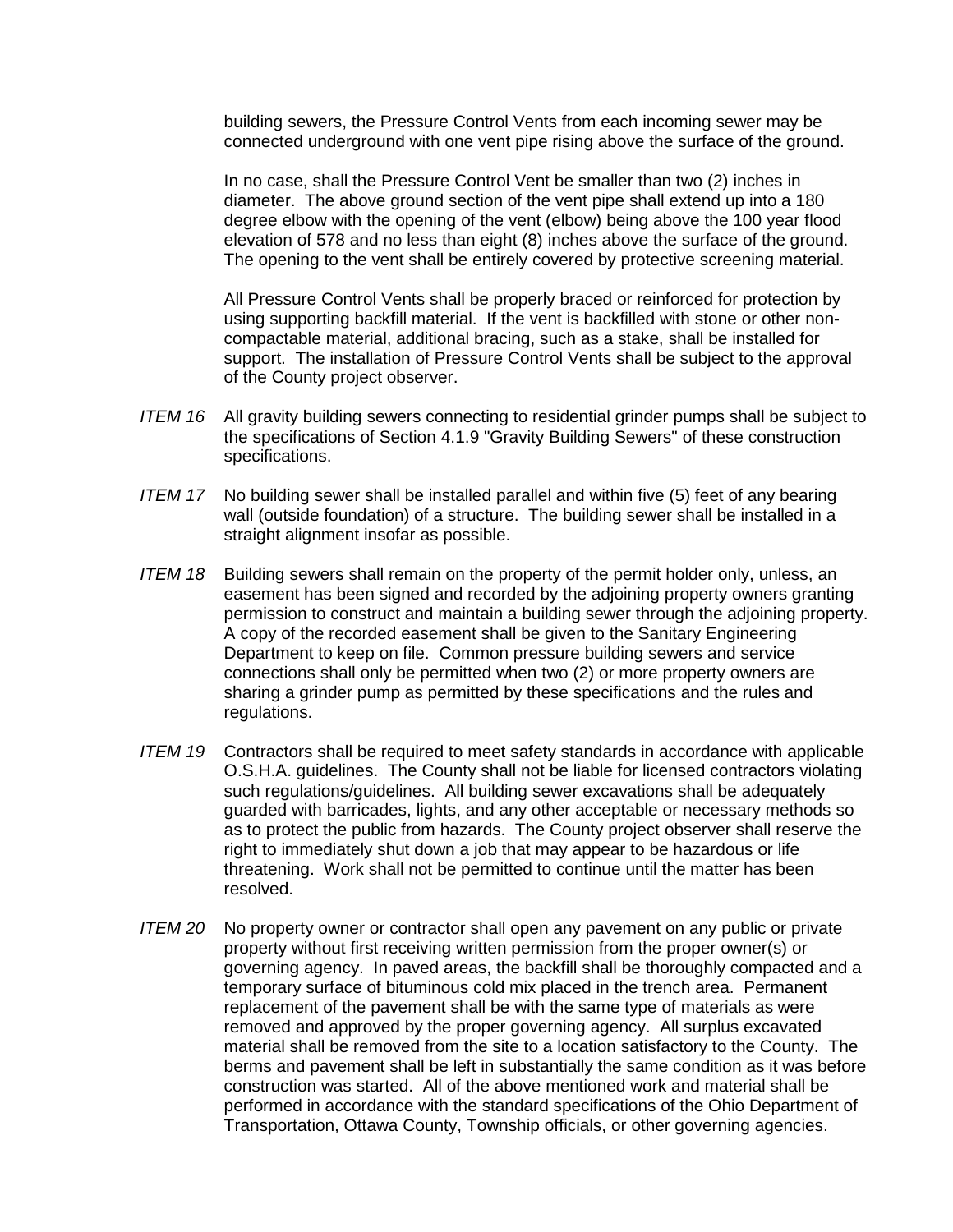building sewers, the Pressure Control Vents from each incoming sewer may be connected underground with one vent pipe rising above the surface of the ground.

In no case, shall the Pressure Control Vent be smaller than two (2) inches in diameter. The above ground section of the vent pipe shall extend up into a 180 degree elbow with the opening of the vent (elbow) being above the 100 year flood elevation of 578 and no less than eight (8) inches above the surface of the ground. The opening to the vent shall be entirely covered by protective screening material.

All Pressure Control Vents shall be properly braced or reinforced for protection by using supporting backfill material. If the vent is backfilled with stone or other noncompactable material, additional bracing, such as a stake, shall be installed for support. The installation of Pressure Control Vents shall be subject to the approval of the County project observer.

- *ITEM 16* All gravity building sewers connecting to residential grinder pumps shall be subject to the specifications of Section 4.1.9 "Gravity Building Sewers" of these construction specifications.
- *ITEM 17* No building sewer shall be installed parallel and within five (5) feet of any bearing wall (outside foundation) of a structure. The building sewer shall be installed in a straight alignment insofar as possible.
- *ITEM 18* Building sewers shall remain on the property of the permit holder only, unless, an easement has been signed and recorded by the adjoining property owners granting permission to construct and maintain a building sewer through the adjoining property. A copy of the recorded easement shall be given to the Sanitary Engineering Department to keep on file. Common pressure building sewers and service connections shall only be permitted when two (2) or more property owners are sharing a grinder pump as permitted by these specifications and the rules and regulations.
- *ITEM 19* Contractors shall be required to meet safety standards in accordance with applicable O.S.H.A. guidelines. The County shall not be liable for licensed contractors violating such regulations/guidelines. All building sewer excavations shall be adequately guarded with barricades, lights, and any other acceptable or necessary methods so as to protect the public from hazards. The County project observer shall reserve the right to immediately shut down a job that may appear to be hazardous or life threatening. Work shall not be permitted to continue until the matter has been resolved.
- *ITEM 20* No property owner or contractor shall open any pavement on any public or private property without first receiving written permission from the proper owner(s) or governing agency. In paved areas, the backfill shall be thoroughly compacted and a temporary surface of bituminous cold mix placed in the trench area. Permanent replacement of the pavement shall be with the same type of materials as were removed and approved by the proper governing agency. All surplus excavated material shall be removed from the site to a location satisfactory to the County. The berms and pavement shall be left in substantially the same condition as it was before construction was started. All of the above mentioned work and material shall be performed in accordance with the standard specifications of the Ohio Department of Transportation, Ottawa County, Township officials, or other governing agencies.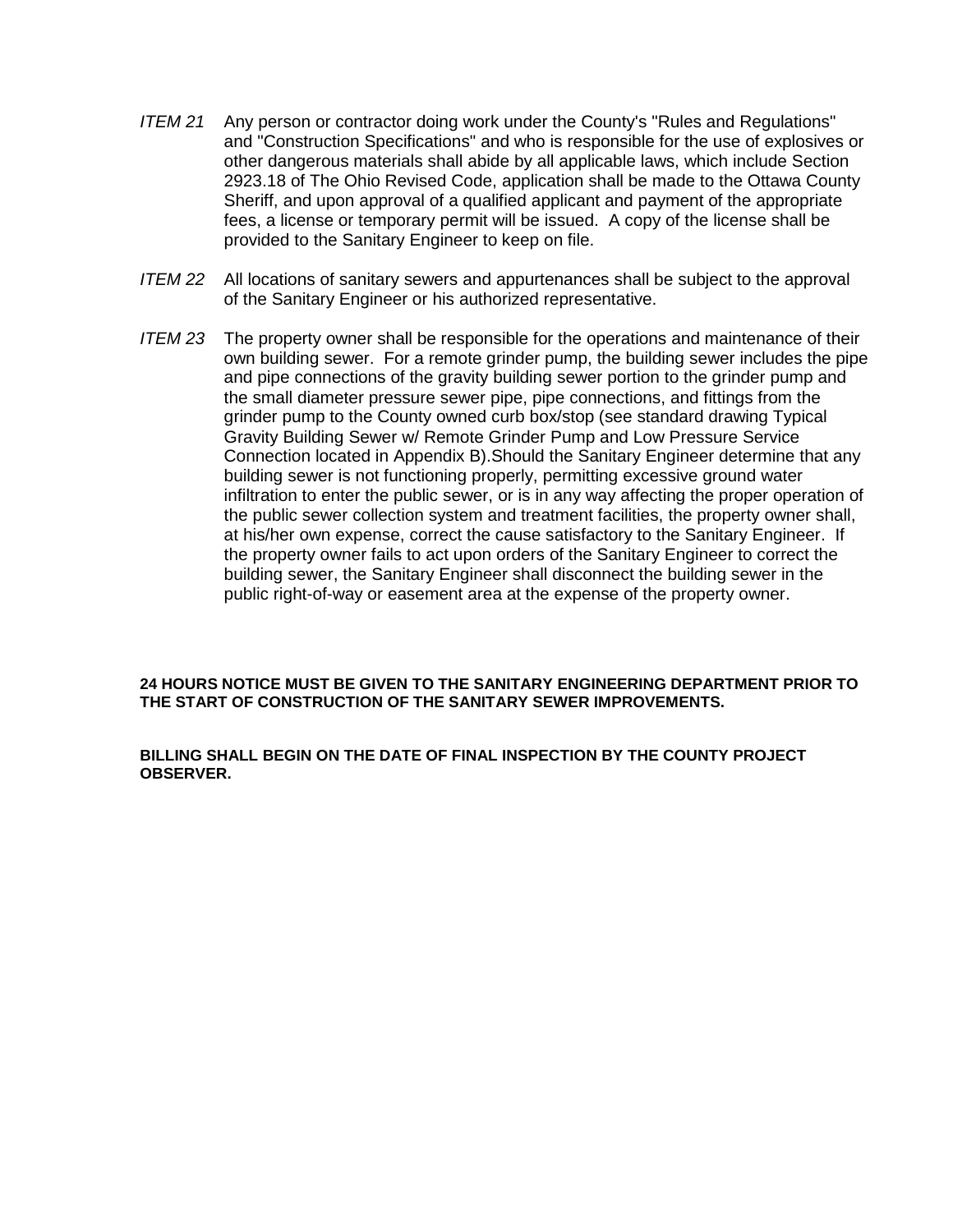- *ITEM 21* Any person or contractor doing work under the County's "Rules and Regulations" and "Construction Specifications" and who is responsible for the use of explosives or other dangerous materials shall abide by all applicable laws, which include Section 2923.18 of The Ohio Revised Code, application shall be made to the Ottawa County Sheriff, and upon approval of a qualified applicant and payment of the appropriate fees, a license or temporary permit will be issued. A copy of the license shall be provided to the Sanitary Engineer to keep on file.
- *ITEM 22* All locations of sanitary sewers and appurtenances shall be subject to the approval of the Sanitary Engineer or his authorized representative.
- *ITEM 23* The property owner shall be responsible for the operations and maintenance of their own building sewer. For a remote grinder pump, the building sewer includes the pipe and pipe connections of the gravity building sewer portion to the grinder pump and the small diameter pressure sewer pipe, pipe connections, and fittings from the grinder pump to the County owned curb box/stop (see standard drawing Typical Gravity Building Sewer w/ Remote Grinder Pump and Low Pressure Service Connection located in Appendix B).Should the Sanitary Engineer determine that any building sewer is not functioning properly, permitting excessive ground water infiltration to enter the public sewer, or is in any way affecting the proper operation of the public sewer collection system and treatment facilities, the property owner shall, at his/her own expense, correct the cause satisfactory to the Sanitary Engineer. If the property owner fails to act upon orders of the Sanitary Engineer to correct the building sewer, the Sanitary Engineer shall disconnect the building sewer in the public right-of-way or easement area at the expense of the property owner.

#### **24 HOURS NOTICE MUST BE GIVEN TO THE SANITARY ENGINEERING DEPARTMENT PRIOR TO THE START OF CONSTRUCTION OF THE SANITARY SEWER IMPROVEMENTS.**

#### **BILLING SHALL BEGIN ON THE DATE OF FINAL INSPECTION BY THE COUNTY PROJECT OBSERVER.**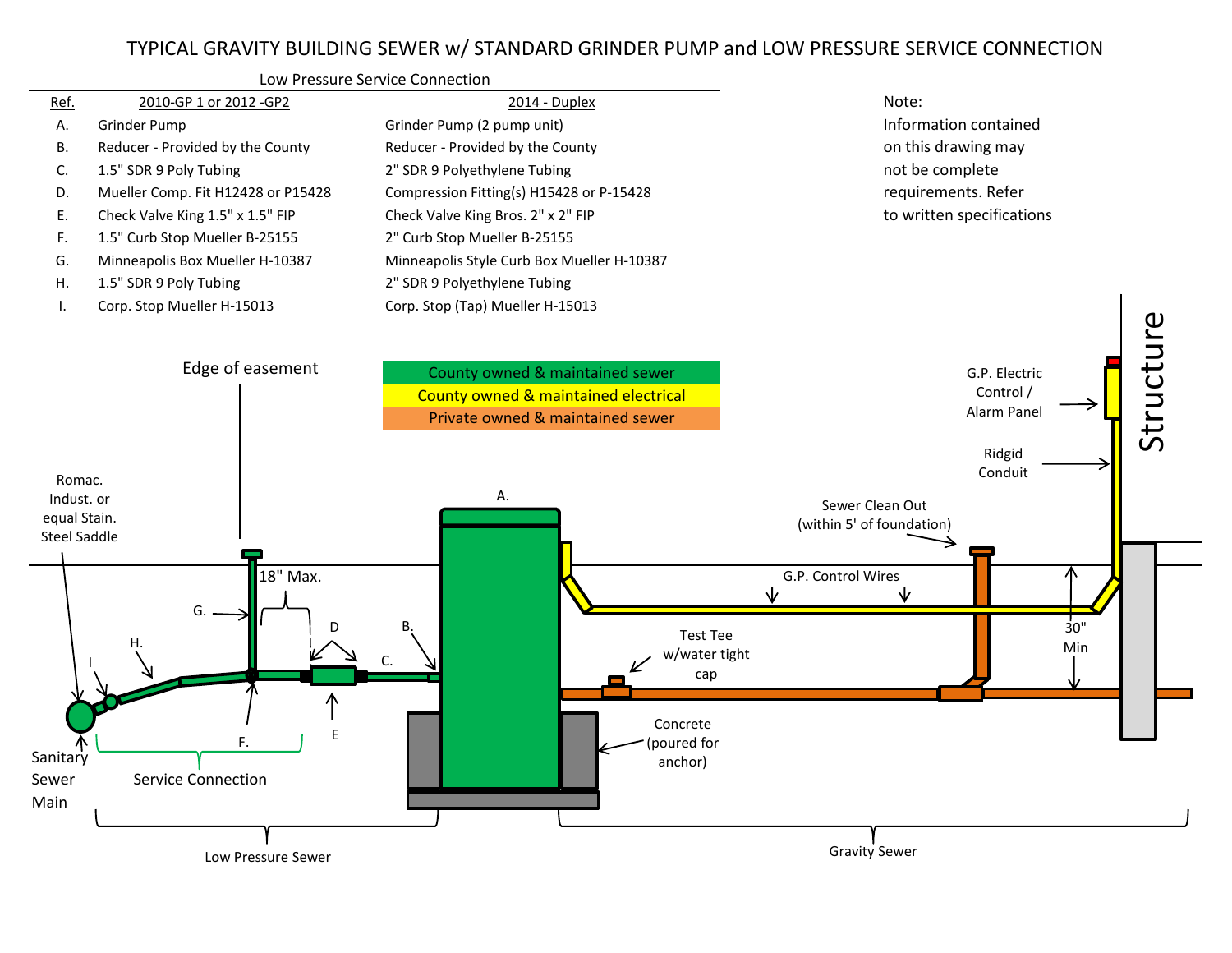

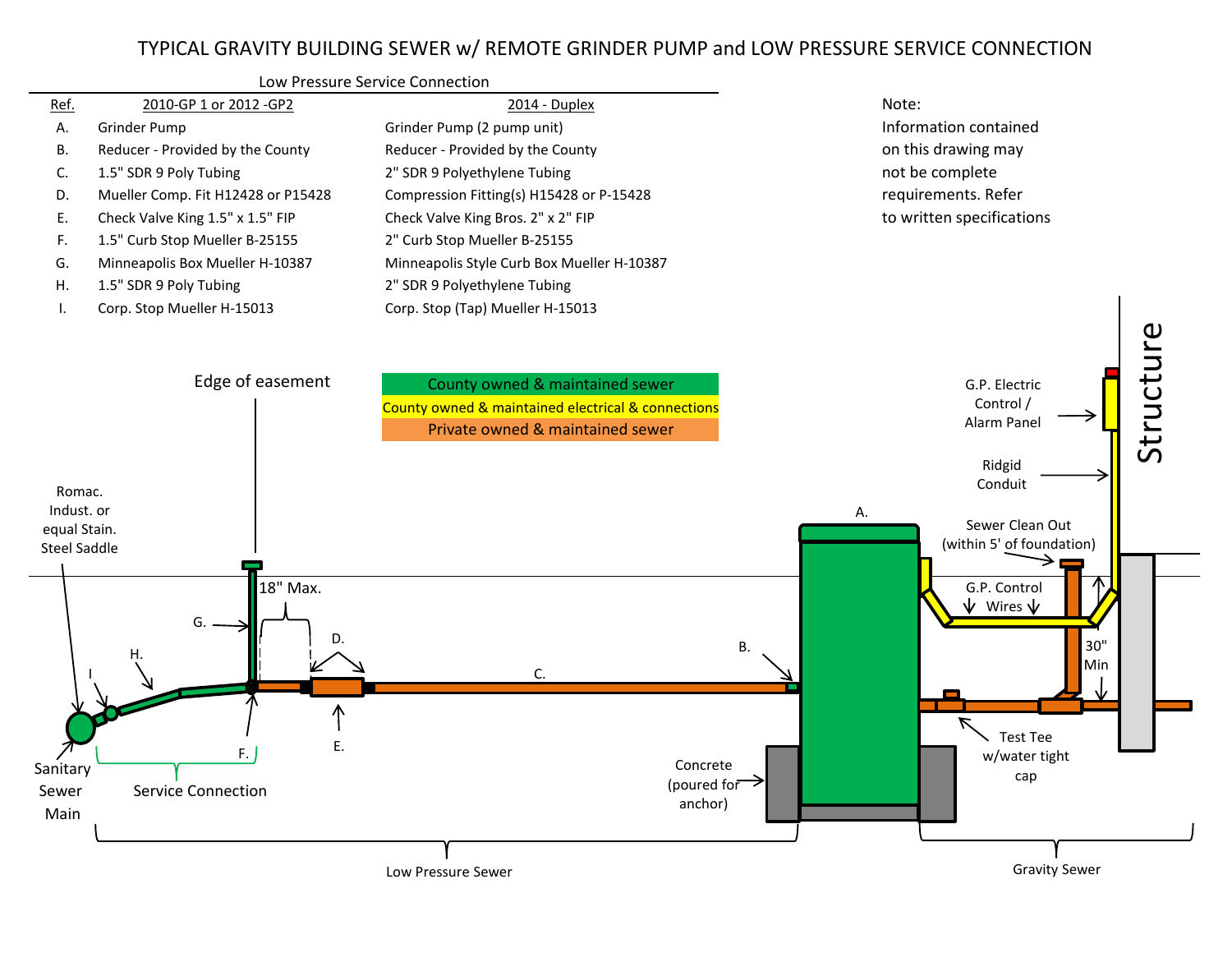# TYPICAL GRAVITY BUILDING SEWER w/ REMOTE GRINDER PUMP and LOW PRESSURE SERVICE CONNECTION



**Low Pressure Sewer** Gravity Sewer Gravity Sewer Gravity Sewer Gravity Sewer Gravity Sewer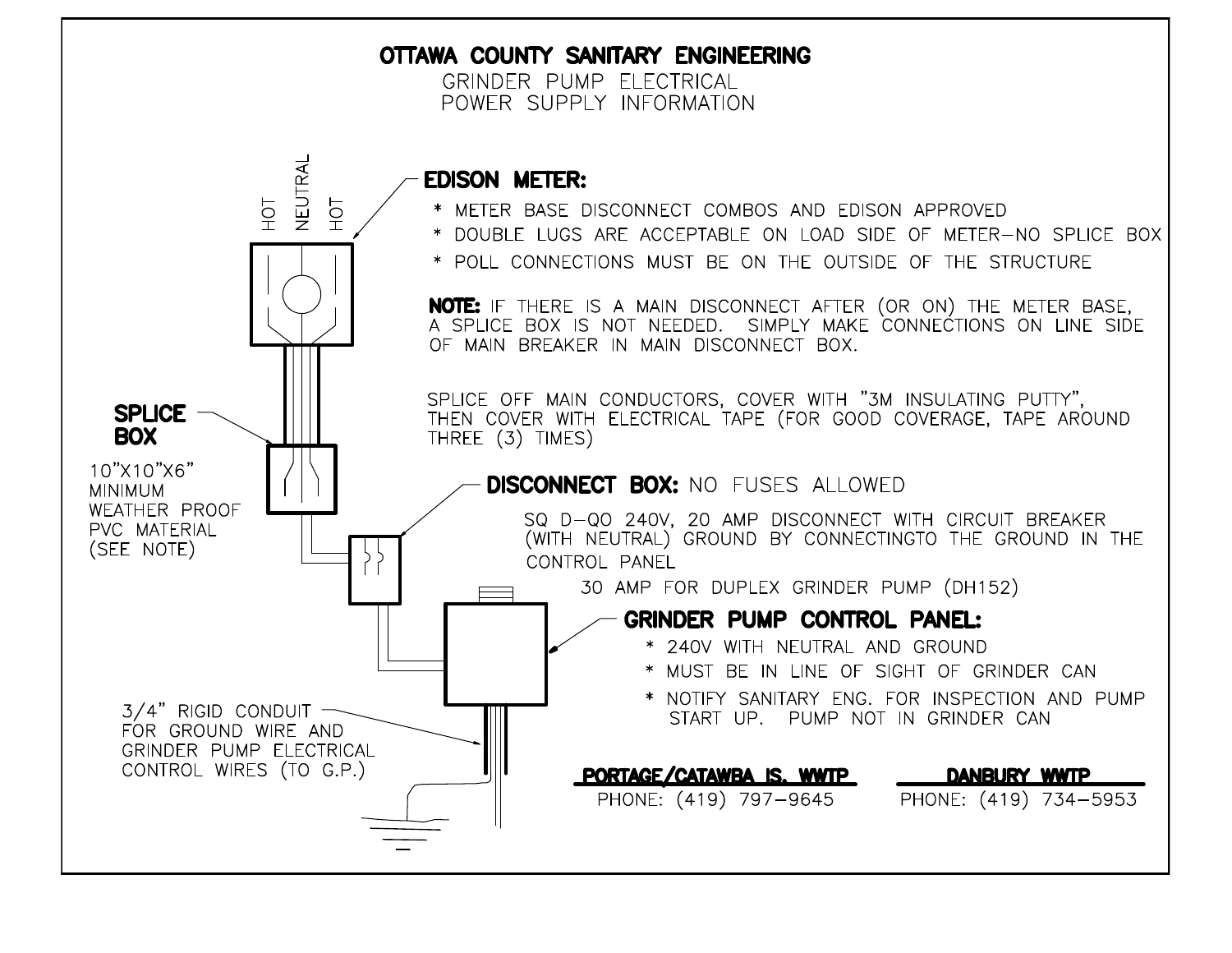